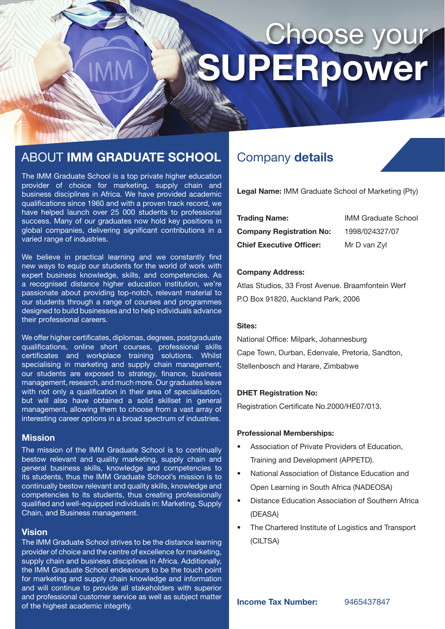# Choose your **SUPERpower**

# ABOUT **IMM GRADUATE SCHOOL** Company **details**

The IMM Graduate School is a top private higher education provider of choice for marketing, supply chain and business disciplines in Africa. We have provided academic qualifications since 1960 and with a proven track record, we have helped launch over 25 000 students to professional success. Many of our graduates now hold key positions in global companies, delivering significant contributions in a varied range of industries.

We believe in practical learning and we constantly find new ways to equip our students for the world of work with expert business knowledge, skills, and competencies. As a recognised distance higher education institution, we're passionate about providing top-notch, relevant material to our students through a range of courses and programmes designed to build businesses and to help individuals advance their professional careers.

We offer higher certificates, diplomas, degrees, postgraduate qualifications, online short courses, professional skills certificates and workplace training solutions. Whilst specialising in marketing and supply chain management, our students are exposed to strategy, finance, business management, research, and much more. Our graduates leave with not only a qualification in their area of specialisation, but will also have obtained a solid skillset in general management, allowing them to choose from a vast array of interesting career options in a broad spectrum of industries.

#### **Mission**

The mission of the IMM Graduate School is to continually bestow relevant and quality marketing, supply chain and general business skills, knowledge and competencies to its students, thus the IMM Graduate School's mission is to continually bestow relevant and quality skills, knowledge and competencies to its students, thus creating professionally qualified and well-equipped individuals in: Marketing, Supply Chain, and Business management.

#### **Vision**

The IMM Graduate School strives to be the distance learning provider of choice and the centre of excellence for marketing, supply chain and business disciplines in Africa. Additionally, the IMM Graduate School endeavours to be the touch point for marketing and supply chain knowledge and information and will continue to provide all stakeholders with superior and professional customer service as well as subject matter of the highest academic integrity.

**Legal Name:** IMM Graduate School of Marketing (Pty)

| <b>Trading Name:</b>            | <b>IMM Graduate School</b> |
|---------------------------------|----------------------------|
| <b>Company Registration No:</b> | 1998/024327/07             |
| <b>Chief Executive Officer:</b> | Mr D van Zyl               |

#### **Company Address:**

Atlas Studios, 33 Frost Avenue. Braamfontein Werf P.O Box 91820, Auckland Park, 2006

#### **Sites:**

National Office: Milpark, Johannesburg Cape Town, Durban, Edenvale, Pretoria, Sandton, Stellenbosch and Harare, Zimbabwe

#### **DHET Registration No:**

Registration Certificate No.2000/HE07/013.

#### **Professional Memberships:**

- Association of Private Providers of Education, Training and Development (APPETD).
- National Association of Distance Education and Open Learning in South Africa (NADEOSA)
- Distance Education Association of Southern Africa (DEASA)
- The Chartered Institute of Logistics and Transport (CILTSA)

**Income Tax Number:** 9465437847